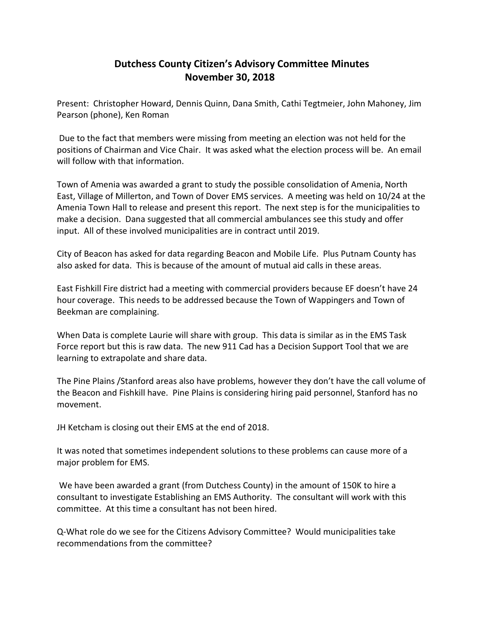## **Dutchess County Citizen's Advisory Committee Minutes November 30, 2018**

Present: Christopher Howard, Dennis Quinn, Dana Smith, Cathi Tegtmeier, John Mahoney, Jim Pearson (phone), Ken Roman

Due to the fact that members were missing from meeting an election was not held for the positions of Chairman and Vice Chair. It was asked what the election process will be. An email will follow with that information.

Town of Amenia was awarded a grant to study the possible consolidation of Amenia, North East, Village of Millerton, and Town of Dover EMS services. A meeting was held on 10/24 at the Amenia Town Hall to release and present this report. The next step is for the municipalities to make a decision. Dana suggested that all commercial ambulances see this study and offer input. All of these involved municipalities are in contract until 2019.

City of Beacon has asked for data regarding Beacon and Mobile Life. Plus Putnam County has also asked for data. This is because of the amount of mutual aid calls in these areas.

East Fishkill Fire district had a meeting with commercial providers because EF doesn't have 24 hour coverage. This needs to be addressed because the Town of Wappingers and Town of Beekman are complaining.

When Data is complete Laurie will share with group. This data is similar as in the EMS Task Force report but this is raw data. The new 911 Cad has a Decision Support Tool that we are learning to extrapolate and share data.

The Pine Plains /Stanford areas also have problems, however they don't have the call volume of the Beacon and Fishkill have. Pine Plains is considering hiring paid personnel, Stanford has no movement.

JH Ketcham is closing out their EMS at the end of 2018.

It was noted that sometimes independent solutions to these problems can cause more of a major problem for EMS.

We have been awarded a grant (from Dutchess County) in the amount of 150K to hire a consultant to investigate Establishing an EMS Authority. The consultant will work with this committee. At this time a consultant has not been hired.

Q-What role do we see for the Citizens Advisory Committee? Would municipalities take recommendations from the committee?